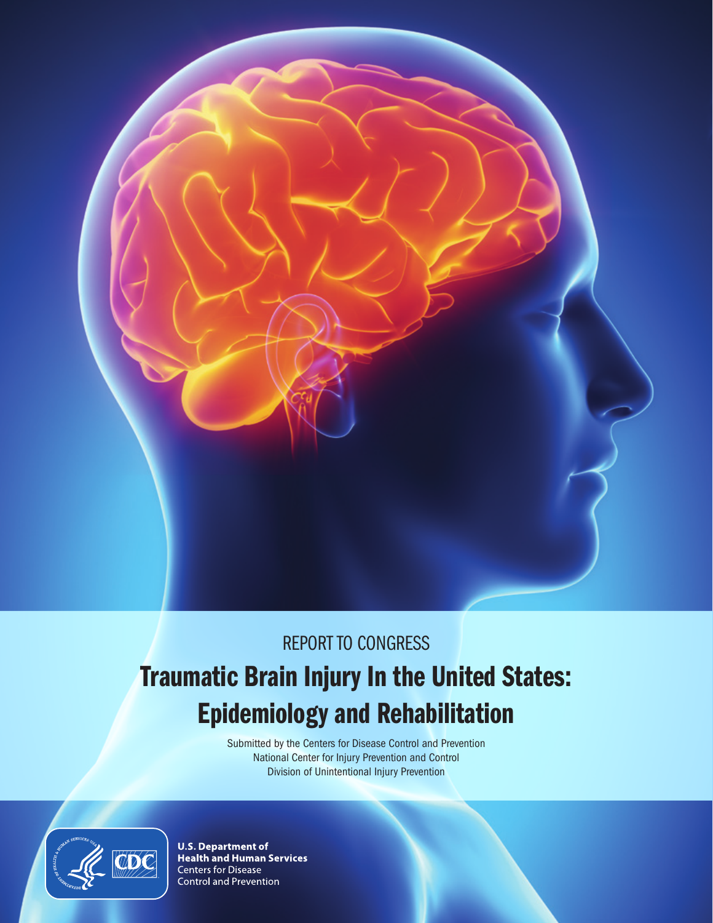

# REPORT TO CONGRESS

# Traumatic Brain Injury In the United States: Epidemiology and Rehabilitation

Submitted by the Centers for Disease Control and Prevention National Center for Injury Prevention and Control Division of Unintentional Injury Prevention



**U.S. Department of<br>Health and Human Services Centers for Disease** Control and Prevention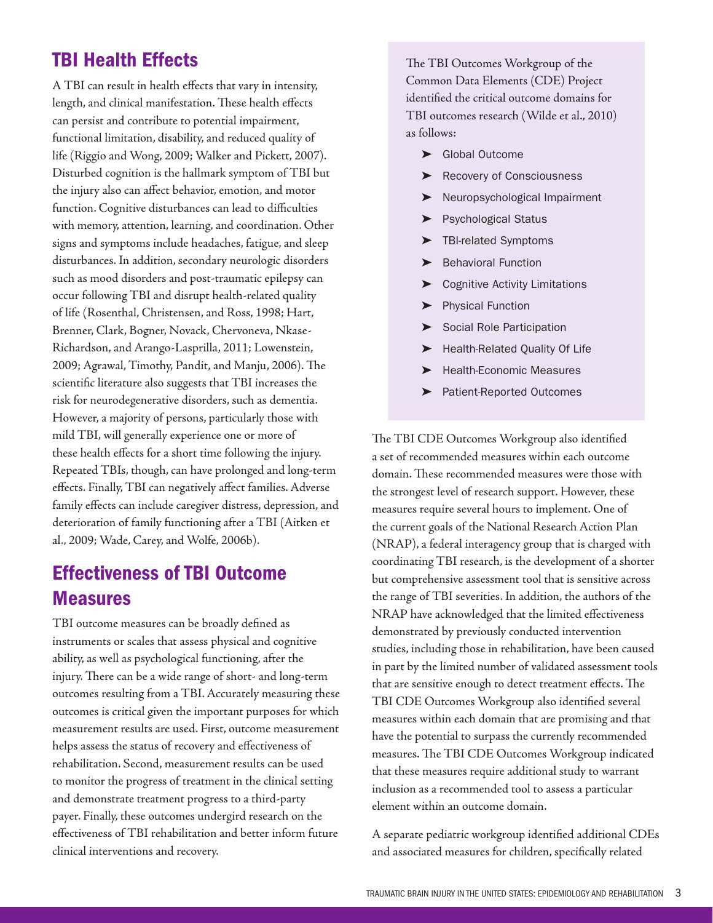# TBI Health Effects

A TBI can result in health effects that vary in intensity, length, and clinical manifestation. These health effects can persist and contribute to potential impairment, functional limitation, disability, and reduced quality of life (Riggio and Wong, 2009; Walker and Pickett, 2007). Disturbed cognition is the hallmark symptom of TBI but the injury also can affect behavior, emotion, and motor function. Cognitive disturbances can lead to difficulties with memory, attention, learning, and coordination. Other signs and symptoms include headaches, fatigue, and sleep disturbances. In addition, secondary neurologic disorders such as mood disorders and post-traumatic epilepsy can occur following TBI and disrupt health-related quality of life (Rosenthal, Christensen, and Ross, 1998; Hart, Brenner, Clark, Bogner, Novack, Chervoneva, Nkase-Richardson, and Arango-Lasprilla, 2011; Lowenstein, 2009; Agrawal, Timothy, Pandit, and Manju, 2006). The scientific literature also suggests that TBI increases the risk for neurodegenerative disorders, such as dementia. However, a majority of persons, particularly those with mild TBI, will generally experience one or more of these health effects for a short time following the injury. Repeated TBIs, though, can have prolonged and long-term effects. Finally, TBI can negatively affect families. Adverse family effects can include caregiver distress, depression, and deterioration of family functioning after a TBI (Aitken et al., 2009; Wade, Carey, and Wolfe, 2006b).

## Effectiveness of TBI Outcome Measures

TBI outcome measures can be broadly defined as instruments or scales that assess physical and cognitive ability, as well as psychological functioning, after the injury. There can be a wide range of short- and long-term outcomes resulting from a TBI. Accurately measuring these outcomes is critical given the important purposes for which measurement results are used. First, outcome measurement helps assess the status of recovery and effectiveness of rehabilitation. Second, measurement results can be used to monitor the progress of treatment in the clinical setting and demonstrate treatment progress to a third-party payer. Finally, these outcomes undergird research on the effectiveness of TBI rehabilitation and better inform future clinical interventions and recovery.

The TBI Outcomes Workgroup of the Common Data Elements (CDE) Project identified the critical outcome domains for TBI outcomes research (Wilde et al., 2010) as follows:

- ➤ Global Outcome
- ➤ Recovery of Consciousness
- ➤ Neuropsychological Impairment
- ➤ Psychological Status
- ➤ TBI-related Symptoms
- **Behavioral Function**
- ➤ Cognitive Activity Limitations
- ➤ Physical Function
- Social Role Participation
- ➤ Health-Related Quality Of Life
- ➤ Health-Economic Measures
- ➤ Patient-Reported Outcomes

The TBI CDE Outcomes Workgroup also identified a set of recommended measures within each outcome domain. These recommended measures were those with the strongest level of research support. However, these measures require several hours to implement. One of the current goals of the National Research Action Plan (NRAP), a federal interagency group that is charged with coordinating TBI research, is the development of a shorter but comprehensive assessment tool that is sensitive across the range of TBI severities. In addition, the authors of the NRAP have acknowledged that the limited effectiveness demonstrated by previously conducted intervention studies, including those in rehabilitation, have been caused in part by the limited number of validated assessment tools that are sensitive enough to detect treatment effects. The TBI CDE Outcomes Workgroup also identified several measures within each domain that are promising and that have the potential to surpass the currently recommended measures. The TBI CDE Outcomes Workgroup indicated that these measures require additional study to warrant inclusion as a recommended tool to assess a particular element within an outcome domain.

A separate pediatric workgroup identified additional CDEs and associated measures for children, specifically related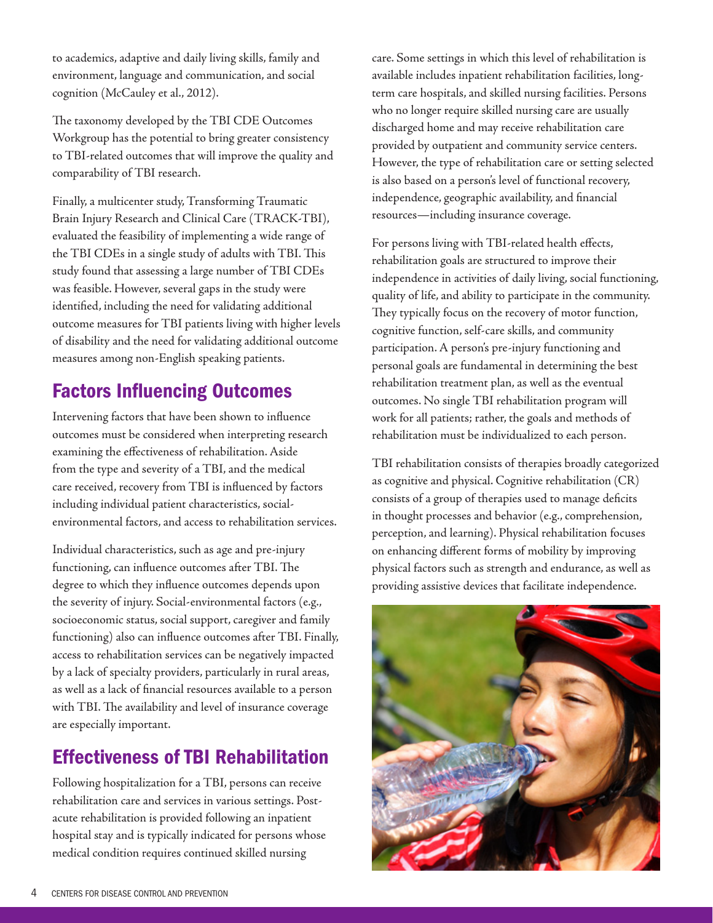to academics, adaptive and daily living skills, family and environment, language and communication, and social cognition (McCauley et al., 2012).

The taxonomy developed by the TBI CDE Outcomes Workgroup has the potential to bring greater consistency to TBI-related outcomes that will improve the quality and comparability of TBI research.

Finally, a multicenter study, Transforming Traumatic Brain Injury Research and Clinical Care (TRACK-TBI), evaluated the feasibility of implementing a wide range of the TBI CDEs in a single study of adults with TBI. This study found that assessing a large number of TBI CDEs was feasible. However, several gaps in the study were identified, including the need for validating additional outcome measures for TBI patients living with higher levels of disability and the need for validating additional outcome measures among non-English speaking patients.

# Factors Influencing Outcomes

Intervening factors that have been shown to influence outcomes must be considered when interpreting research examining the effectiveness of rehabilitation. Aside from the type and severity of a TBI, and the medical care received, recovery from TBI is influenced by factors including individual patient characteristics, socialenvironmental factors, and access to rehabilitation services.

Individual characteristics, such as age and pre-injury functioning, can influence outcomes after TBI. The degree to which they influence outcomes depends upon the severity of injury. Social-environmental factors (e.g., socioeconomic status, social support, caregiver and family functioning) also can influence outcomes after TBI. Finally, access to rehabilitation services can be negatively impacted by a lack of specialty providers, particularly in rural areas, as well as a lack of financial resources available to a person with TBI. The availability and level of insurance coverage are especially important.

# Effectiveness of TBI Rehabilitation

Following hospitalization for a TBI, persons can receive rehabilitation care and services in various settings. Postacute rehabilitation is provided following an inpatient hospital stay and is typically indicated for persons whose medical condition requires continued skilled nursing

care. Some settings in which this level of rehabilitation is available includes inpatient rehabilitation facilities, longterm care hospitals, and skilled nursing facilities. Persons who no longer require skilled nursing care are usually discharged home and may receive rehabilitation care provided by outpatient and community service centers. However, the type of rehabilitation care or setting selected is also based on a person's level of functional recovery, independence, geographic availability, and financial resources—including insurance coverage.

For persons living with TBI-related health effects, rehabilitation goals are structured to improve their independence in activities of daily living, social functioning, quality of life, and ability to participate in the community. They typically focus on the recovery of motor function, cognitive function, self-care skills, and community participation. A person's pre-injury functioning and personal goals are fundamental in determining the best rehabilitation treatment plan, as well as the eventual outcomes. No single TBI rehabilitation program will work for all patients; rather, the goals and methods of rehabilitation must be individualized to each person.

TBI rehabilitation consists of therapies broadly categorized as cognitive and physical. Cognitive rehabilitation (CR) consists of a group of therapies used to manage deficits in thought processes and behavior (e.g., comprehension, perception, and learning). Physical rehabilitation focuses on enhancing different forms of mobility by improving physical factors such as strength and endurance, as well as providing assistive devices that facilitate independence.

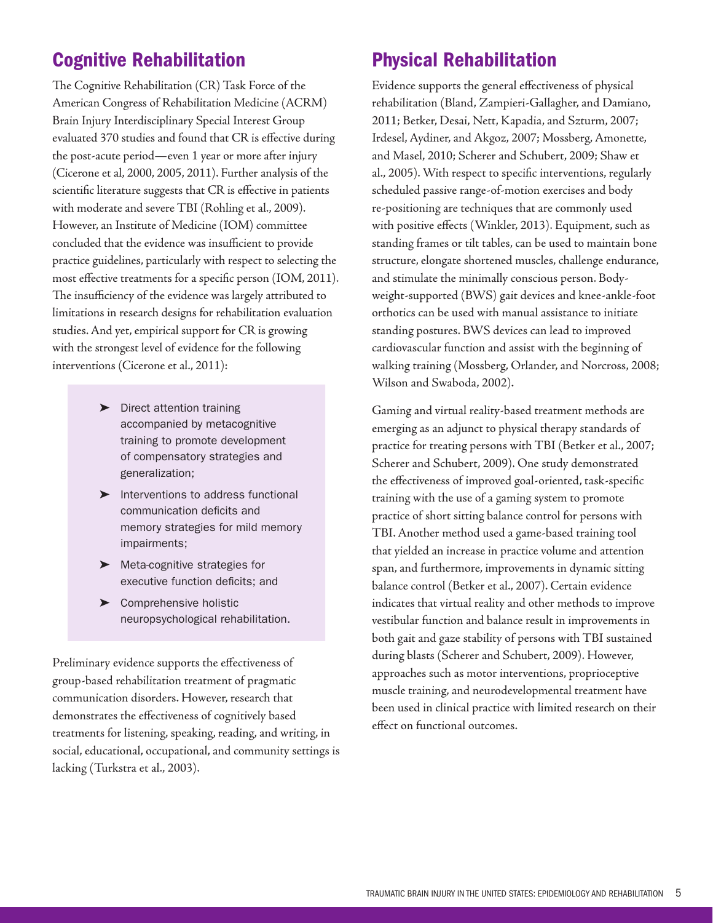# Cognitive Rehabilitation

The Cognitive Rehabilitation (CR) Task Force of the American Congress of Rehabilitation Medicine (ACRM) Brain Injury Interdisciplinary Special Interest Group evaluated 370 studies and found that CR is effective during the post-acute period—even 1 year or more after injury (Cicerone et al, 2000, 2005, 2011). Further analysis of the scientific literature suggests that CR is effective in patients with moderate and severe TBI (Rohling et al., 2009). However, an Institute of Medicine (IOM) committee concluded that the evidence was insufficient to provide practice guidelines, particularly with respect to selecting the most effective treatments for a specific person (IOM, 2011). The insufficiency of the evidence was largely attributed to limitations in research designs for rehabilitation evaluation studies. And yet, empirical support for CR is growing with the strongest level of evidence for the following interventions (Cicerone et al., 2011):

- ➤ Direct attention training accompanied by metacognitive training to promote development of compensatory strategies and generalization;
- ➤ Interventions to address functional communication deficits and memory strategies for mild memory impairments;
- ➤ Meta-cognitive strategies for executive function deficits; and
- ➤ Comprehensive holistic neuropsychological rehabilitation.

Preliminary evidence supports the effectiveness of group-based rehabilitation treatment of pragmatic communication disorders. However, research that demonstrates the effectiveness of cognitively based treatments for listening, speaking, reading, and writing, in social, educational, occupational, and community settings is lacking (Turkstra et al., 2003).

# Physical Rehabilitation

Evidence supports the general effectiveness of physical rehabilitation (Bland, Zampieri-Gallagher, and Damiano, 2011; Betker, Desai, Nett, Kapadia, and Szturm, 2007; Irdesel, Aydiner, and Akgoz, 2007; Mossberg, Amonette, and Masel, 2010; Scherer and Schubert, 2009; Shaw et al., 2005). With respect to specific interventions, regularly scheduled passive range-of-motion exercises and body re-positioning are techniques that are commonly used with positive effects (Winkler, 2013). Equipment, such as standing frames or tilt tables, can be used to maintain bone structure, elongate shortened muscles, challenge endurance, and stimulate the minimally conscious person. Bodyweight-supported (BWS) gait devices and knee-ankle-foot orthotics can be used with manual assistance to initiate standing postures. BWS devices can lead to improved cardiovascular function and assist with the beginning of walking training (Mossberg, Orlander, and Norcross, 2008; Wilson and Swaboda, 2002).

Gaming and virtual reality-based treatment methods are emerging as an adjunct to physical therapy standards of practice for treating persons with TBI (Betker et al., 2007; Scherer and Schubert, 2009). One study demonstrated the effectiveness of improved goal-oriented, task-specific training with the use of a gaming system to promote practice of short sitting balance control for persons with TBI. Another method used a game-based training tool that yielded an increase in practice volume and attention span, and furthermore, improvements in dynamic sitting balance control (Betker et al., 2007). Certain evidence indicates that virtual reality and other methods to improve vestibular function and balance result in improvements in both gait and gaze stability of persons with TBI sustained during blasts (Scherer and Schubert, 2009). However, approaches such as motor interventions, proprioceptive muscle training, and neurodevelopmental treatment have been used in clinical practice with limited research on their effect on functional outcomes.